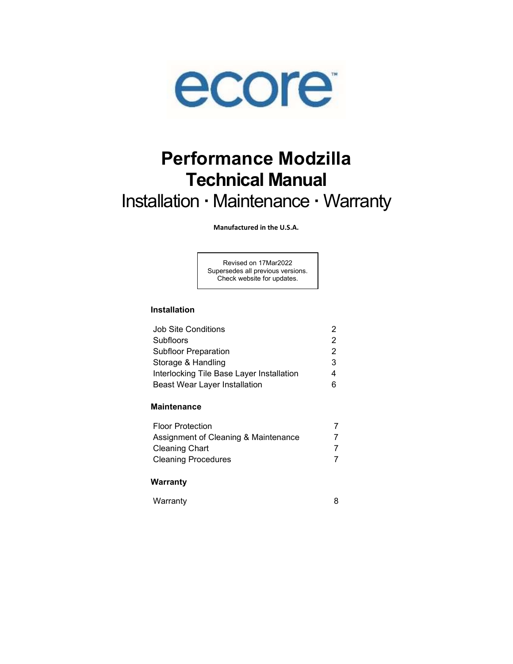

# Performance Modzilla Technical Manual Installation · Maintenance · Warranty

Manufactured in the U.S.A.

Revised on 17Mar2022 Supersedes all previous versions. Check website for updates.

## Installation

| <b>Job Site Conditions</b>                |               |
|-------------------------------------------|---------------|
| <b>Subfloors</b>                          | $\mathcal{P}$ |
| <b>Subfloor Preparation</b>               | $\mathcal{P}$ |
| Storage & Handling                        | 3             |
| Interlocking Tile Base Layer Installation |               |
| <b>Beast Wear Layer Installation</b>      |               |
|                                           |               |

## **Maintenance**

| <b>Floor Protection</b>              |  |
|--------------------------------------|--|
| Assignment of Cleaning & Maintenance |  |
| <b>Cleaning Chart</b>                |  |
| <b>Cleaning Procedures</b>           |  |

#### Warranty

| Warranty |  |
|----------|--|
|----------|--|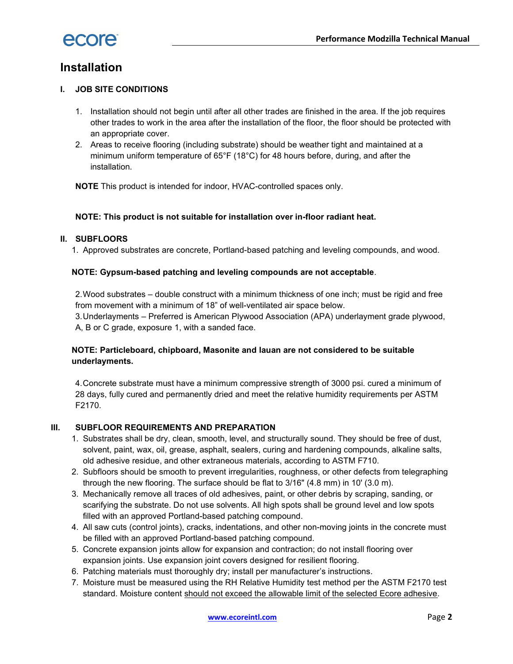

# Installation

## I. JOB SITE CONDITIONS

- 1. Installation should not begin until after all other trades are finished in the area. If the job requires other trades to work in the area after the installation of the floor, the floor should be protected with an appropriate cover.
- 2. Areas to receive flooring (including substrate) should be weather tight and maintained at a minimum uniform temperature of 65°F (18°C) for 48 hours before, during, and after the installation.

NOTE This product is intended for indoor, HVAC-controlled spaces only.

#### NOTE: This product is not suitable for installation over in-floor radiant heat.

#### II. SUBFLOORS

1. Approved substrates are concrete, Portland-based patching and leveling compounds, and wood.

#### NOTE: Gypsum-based patching and leveling compounds are not acceptable.

2. Wood substrates – double construct with a minimum thickness of one inch; must be rigid and free from movement with a minimum of 18" of well-ventilated air space below.

3. Underlayments – Preferred is American Plywood Association (APA) underlayment grade plywood, A, B or C grade, exposure 1, with a sanded face.

## NOTE: Particleboard, chipboard, Masonite and lauan are not considered to be suitable underlayments.

4. Concrete substrate must have a minimum compressive strength of 3000 psi. cured a minimum of 28 days, fully cured and permanently dried and meet the relative humidity requirements per ASTM F2170.

#### III. SUBFLOOR REQUIREMENTS AND PREPARATION

- 1. Substrates shall be dry, clean, smooth, level, and structurally sound. They should be free of dust, solvent, paint, wax, oil, grease, asphalt, sealers, curing and hardening compounds, alkaline salts, old adhesive residue, and other extraneous materials, according to ASTM F710.
- 2. Subfloors should be smooth to prevent irregularities, roughness, or other defects from telegraphing through the new flooring. The surface should be flat to 3/16" (4.8 mm) in 10' (3.0 m).
- 3. Mechanically remove all traces of old adhesives, paint, or other debris by scraping, sanding, or scarifying the substrate. Do not use solvents. All high spots shall be ground level and low spots filled with an approved Portland-based patching compound.
- 4. All saw cuts (control joints), cracks, indentations, and other non-moving joints in the concrete must be filled with an approved Portland-based patching compound.
- 5. Concrete expansion joints allow for expansion and contraction; do not install flooring over expansion joints. Use expansion joint covers designed for resilient flooring.
- 6. Patching materials must thoroughly dry; install per manufacturer's instructions.
- 7. Moisture must be measured using the RH Relative Humidity test method per the ASTM F2170 test standard. Moisture content should not exceed the allowable limit of the selected Ecore adhesive.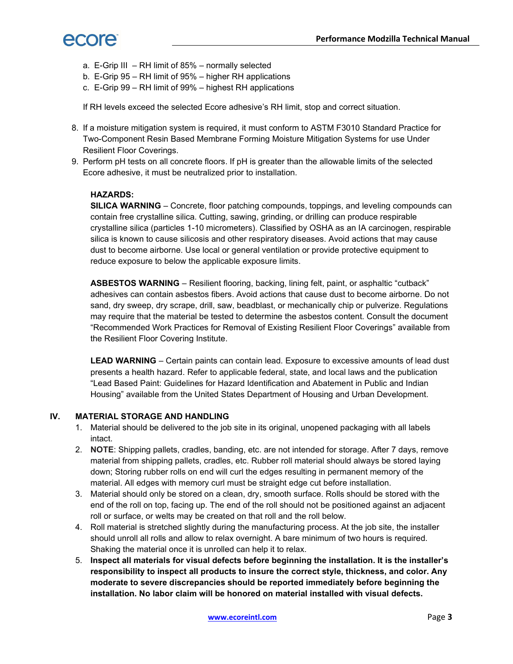

- a. E-Grip III RH limit of 85% normally selected
- b. E-Grip 95 RH limit of 95% higher RH applications
- c. E-Grip 99 RH limit of 99% highest RH applications

If RH levels exceed the selected Ecore adhesive's RH limit, stop and correct situation.

- 8. If a moisture mitigation system is required, it must conform to ASTM F3010 Standard Practice for Two-Component Resin Based Membrane Forming Moisture Mitigation Systems for use Under Resilient Floor Coverings.
- 9. Perform pH tests on all concrete floors. If pH is greater than the allowable limits of the selected Ecore adhesive, it must be neutralized prior to installation.

#### HAZARDS:

SILICA WARNING – Concrete, floor patching compounds, toppings, and leveling compounds can contain free crystalline silica. Cutting, sawing, grinding, or drilling can produce respirable crystalline silica (particles 1-10 micrometers). Classified by OSHA as an IA carcinogen, respirable silica is known to cause silicosis and other respiratory diseases. Avoid actions that may cause dust to become airborne. Use local or general ventilation or provide protective equipment to reduce exposure to below the applicable exposure limits.

ASBESTOS WARNING – Resilient flooring, backing, lining felt, paint, or asphaltic "cutback" adhesives can contain asbestos fibers. Avoid actions that cause dust to become airborne. Do not sand, dry sweep, dry scrape, drill, saw, beadblast, or mechanically chip or pulverize. Regulations may require that the material be tested to determine the asbestos content. Consult the document "Recommended Work Practices for Removal of Existing Resilient Floor Coverings" available from the Resilient Floor Covering Institute.

LEAD WARNING – Certain paints can contain lead. Exposure to excessive amounts of lead dust presents a health hazard. Refer to applicable federal, state, and local laws and the publication "Lead Based Paint: Guidelines for Hazard Identification and Abatement in Public and Indian Housing" available from the United States Department of Housing and Urban Development.

#### IV. MATERIAL STORAGE AND HANDLING

- 1. Material should be delivered to the job site in its original, unopened packaging with all labels intact.
- 2. NOTE: Shipping pallets, cradles, banding, etc. are not intended for storage. After 7 days, remove material from shipping pallets, cradles, etc. Rubber roll material should always be stored laying down; Storing rubber rolls on end will curl the edges resulting in permanent memory of the material. All edges with memory curl must be straight edge cut before installation.
- 3. Material should only be stored on a clean, dry, smooth surface. Rolls should be stored with the end of the roll on top, facing up. The end of the roll should not be positioned against an adjacent roll or surface, or welts may be created on that roll and the roll below.
- 4. Roll material is stretched slightly during the manufacturing process. At the job site, the installer should unroll all rolls and allow to relax overnight. A bare minimum of two hours is required. Shaking the material once it is unrolled can help it to relax.
- 5. Inspect all materials for visual defects before beginning the installation. It is the installer's responsibility to inspect all products to insure the correct style, thickness, and color. Any moderate to severe discrepancies should be reported immediately before beginning the installation. No labor claim will be honored on material installed with visual defects.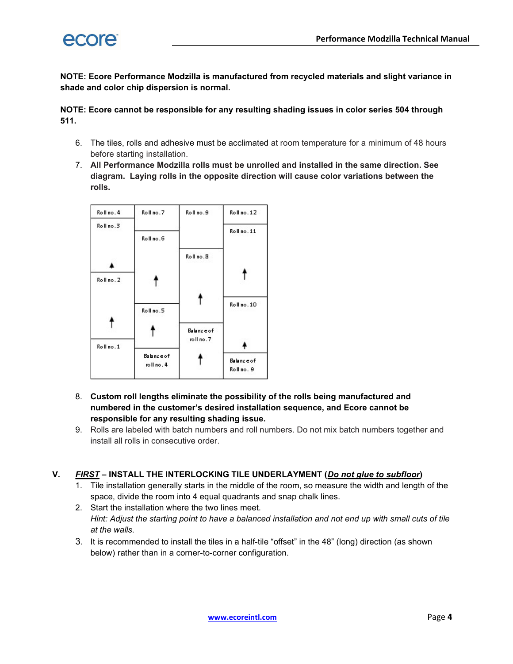

NOTE: Ecore Performance Modzilla is manufactured from recycled materials and slight variance in shade and color chip dispersion is normal.

NOTE: Ecore cannot be responsible for any resulting shading issues in color series 504 through 511.

- 6. The tiles, rolls and adhesive must be acclimated at room temperature for a minimum of 48 hours before starting installation.
- 7. All Performance Modzilla rolls must be unrolled and installed in the same direction. See diagram. Laying rolls in the opposite direction will cause color variations between the rolls.



- 8. Custom roll lengths eliminate the possibility of the rolls being manufactured and numbered in the customer's desired installation sequence, and Ecore cannot be responsible for any resulting shading issue.
- 9. Rolls are labeled with batch numbers and roll numbers. Do not mix batch numbers together and install all rolls in consecutive order.

## V. FIRST – INSTALL THE INTERLOCKING TILE UNDERLAYMENT (Do not glue to subfloor)

- 1. Tile installation generally starts in the middle of the room, so measure the width and length of the space, divide the room into 4 equal quadrants and snap chalk lines.
- 2. Start the installation where the two lines meet. Hint: Adjust the starting point to have a balanced installation and not end up with small cuts of tile at the walls.
- 3. It is recommended to install the tiles in a half-tile "offset" in the 48" (long) direction (as shown below) rather than in a corner-to-corner configuration.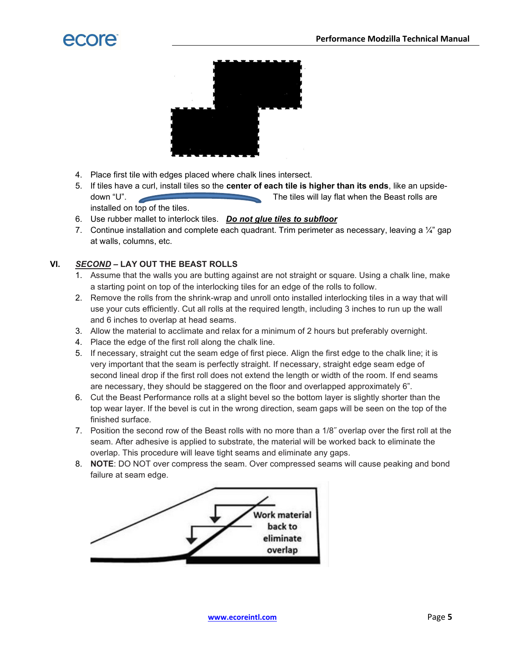

- 4. Place first tile with edges placed where chalk lines intersect.
- 5. If tiles have a curl, install tiles so the center of each tile is higher than its ends, like an upsidedown "U". The tiles will lay flat when the Beast rolls are installed on top of the tiles.
- 6. Use rubber mallet to interlock tiles. Do not glue tiles to subfloor
- 7. Continue installation and complete each quadrant. Trim perimeter as necessary, leaving a 1/4" gap at walls, columns, etc.

## VI. SECOND - LAY OUT THE BEAST ROLLS

- 1. Assume that the walls you are butting against are not straight or square. Using a chalk line, make a starting point on top of the interlocking tiles for an edge of the rolls to follow.
- 2. Remove the rolls from the shrink-wrap and unroll onto installed interlocking tiles in a way that will use your cuts efficiently. Cut all rolls at the required length, including 3 inches to run up the wall and 6 inches to overlap at head seams.
- 3. Allow the material to acclimate and relax for a minimum of 2 hours but preferably overnight.
- 4. Place the edge of the first roll along the chalk line.
- 5. If necessary, straight cut the seam edge of first piece. Align the first edge to the chalk line; it is very important that the seam is perfectly straight. If necessary, straight edge seam edge of second lineal drop if the first roll does not extend the length or width of the room. If end seams are necessary, they should be staggered on the floor and overlapped approximately 6".
- 6. Cut the Beast Performance rolls at a slight bevel so the bottom layer is slightly shorter than the top wear layer. If the bevel is cut in the wrong direction, seam gaps will be seen on the top of the finished surface.
- 7. Position the second row of the Beast rolls with no more than a 1/8˝ overlap over the first roll at the seam. After adhesive is applied to substrate, the material will be worked back to eliminate the overlap. This procedure will leave tight seams and eliminate any gaps.
- 8. **NOTE:** DO NOT over compress the seam. Over compressed seams will cause peaking and bond failure at seam edge.

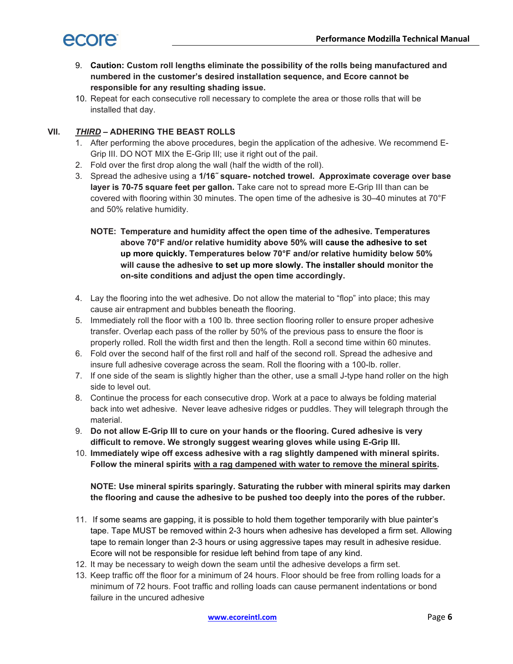

- 9. Caution: Custom roll lengths eliminate the possibility of the rolls being manufactured and numbered in the customer's desired installation sequence, and Ecore cannot be responsible for any resulting shading issue.
- 10. Repeat for each consecutive roll necessary to complete the area or those rolls that will be installed that day.

## VII. THIRD – ADHERING THE BEAST ROLLS

- 1. After performing the above procedures, begin the application of the adhesive. We recommend E-Grip III. DO NOT MIX the E-Grip III; use it right out of the pail.
- 2. Fold over the first drop along the wall (half the width of the roll).
- 3. Spread the adhesive using a 1/16˝ square- notched trowel. Approximate coverage over base layer is 70-75 square feet per gallon. Take care not to spread more E-Grip III than can be covered with flooring within 30 minutes. The open time of the adhesive is 30–40 minutes at 70°F and 50% relative humidity.
	- NOTE: Temperature and humidity affect the open time of the adhesive. Temperatures above 70°F and/or relative humidity above 50% will cause the adhesive to set up more quickly. Temperatures below 70°F and/or relative humidity below 50% will cause the adhesive to set up more slowly. The installer should monitor the on-site conditions and adjust the open time accordingly.
- 4. Lay the flooring into the wet adhesive. Do not allow the material to "flop" into place; this may cause air entrapment and bubbles beneath the flooring.
- 5. Immediately roll the floor with a 100 lb. three section flooring roller to ensure proper adhesive transfer. Overlap each pass of the roller by 50% of the previous pass to ensure the floor is properly rolled. Roll the width first and then the length. Roll a second time within 60 minutes.
- 6. Fold over the second half of the first roll and half of the second roll. Spread the adhesive and insure full adhesive coverage across the seam. Roll the flooring with a 100-lb. roller.
- 7. If one side of the seam is slightly higher than the other, use a small J-type hand roller on the high side to level out.
- 8. Continue the process for each consecutive drop. Work at a pace to always be folding material back into wet adhesive. Never leave adhesive ridges or puddles. They will telegraph through the material.
- 9. Do not allow E-Grip III to cure on your hands or the flooring. Cured adhesive is very difficult to remove. We strongly suggest wearing gloves while using E-Grip III.
- 10. Immediately wipe off excess adhesive with a rag slightly dampened with mineral spirits. Follow the mineral spirits with a rag dampened with water to remove the mineral spirits.

NOTE: Use mineral spirits sparingly. Saturating the rubber with mineral spirits may darken the flooring and cause the adhesive to be pushed too deeply into the pores of the rubber.

- 11. If some seams are gapping, it is possible to hold them together temporarily with blue painter's tape. Tape MUST be removed within 2-3 hours when adhesive has developed a firm set. Allowing tape to remain longer than 2-3 hours or using aggressive tapes may result in adhesive residue. Ecore will not be responsible for residue left behind from tape of any kind.
- 12. It may be necessary to weigh down the seam until the adhesive develops a firm set.
- 13. Keep traffic off the floor for a minimum of 24 hours. Floor should be free from rolling loads for a minimum of 72 hours. Foot traffic and rolling loads can cause permanent indentations or bond failure in the uncured adhesive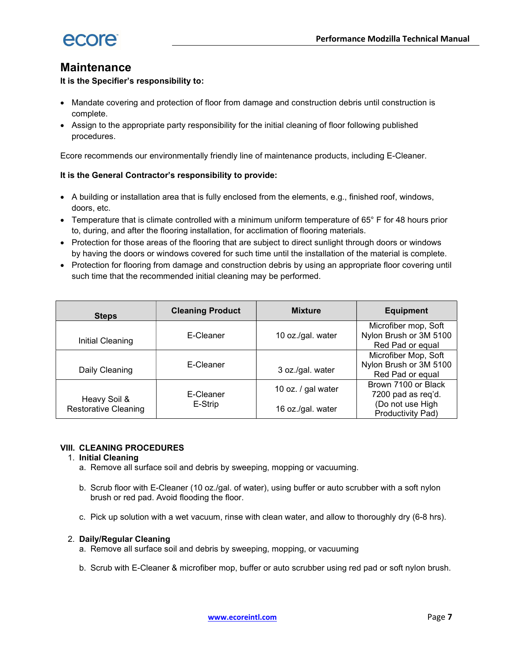

## **Maintenance**

It is the Specifier's responsibility to:

- Mandate covering and protection of floor from damage and construction debris until construction is complete.
- Assign to the appropriate party responsibility for the initial cleaning of floor following published procedures.

Ecore recommends our environmentally friendly line of maintenance products, including E-Cleaner.

## It is the General Contractor's responsibility to provide:

- A building or installation area that is fully enclosed from the elements, e.g., finished roof, windows, doors, etc.
- Temperature that is climate controlled with a minimum uniform temperature of 65° F for 48 hours prior to, during, and after the flooring installation, for acclimation of flooring materials.
- Protection for those areas of the flooring that are subject to direct sunlight through doors or windows by having the doors or windows covered for such time until the installation of the material is complete.
- Protection for flooring from damage and construction debris by using an appropriate floor covering until such time that the recommended initial cleaning may be performed.

| <b>Steps</b>                | <b>Cleaning Product</b> | <b>Mixture</b>     | <b>Equipment</b>                                                   |
|-----------------------------|-------------------------|--------------------|--------------------------------------------------------------------|
| Initial Cleaning            | E-Cleaner               | 10 oz./gal. water  | Microfiber mop, Soft<br>Nylon Brush or 3M 5100<br>Red Pad or equal |
| Daily Cleaning              | E-Cleaner               | 3 oz./gal. water   | Microfiber Mop, Soft<br>Nylon Brush or 3M 5100<br>Red Pad or equal |
| Heavy Soil &                | E-Cleaner               | 10 oz. / gal water | Brown 7100 or Black<br>7200 pad as req'd.                          |
| <b>Restorative Cleaning</b> | E-Strip                 | 16 oz./gal. water  | (Do not use High<br>Productivity Pad)                              |

## VIII. CLEANING PROCEDURES

## 1. Initial Cleaning

- a. Remove all surface soil and debris by sweeping, mopping or vacuuming.
- b. Scrub floor with E-Cleaner (10 oz./gal. of water), using buffer or auto scrubber with a soft nylon brush or red pad. Avoid flooding the floor.
- c. Pick up solution with a wet vacuum, rinse with clean water, and allow to thoroughly dry (6-8 hrs).

## 2. Daily/Regular Cleaning

- a. Remove all surface soil and debris by sweeping, mopping, or vacuuming
- b. Scrub with E-Cleaner & microfiber mop, buffer or auto scrubber using red pad or soft nylon brush.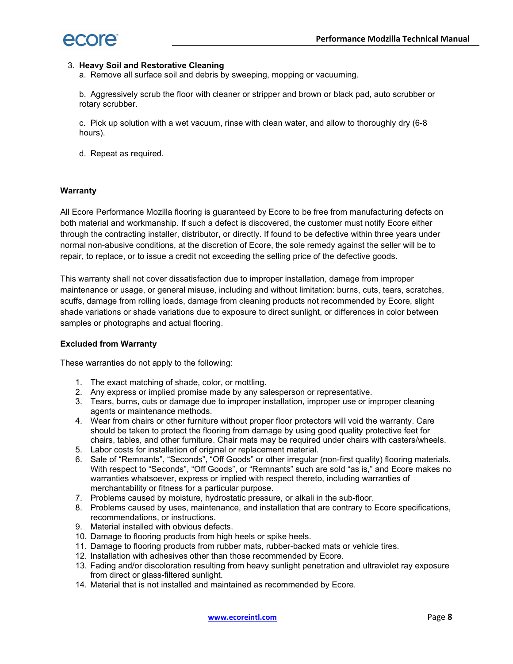

#### 3. Heavy Soil and Restorative Cleaning

a. Remove all surface soil and debris by sweeping, mopping or vacuuming.

b. Aggressively scrub the floor with cleaner or stripper and brown or black pad, auto scrubber or rotary scrubber.

c. Pick up solution with a wet vacuum, rinse with clean water, and allow to thoroughly dry (6-8 hours).

d. Repeat as required.

#### **Warranty**

All Ecore Performance Mozilla flooring is guaranteed by Ecore to be free from manufacturing defects on both material and workmanship. If such a defect is discovered, the customer must notify Ecore either through the contracting installer, distributor, or directly. If found to be defective within three years under normal non-abusive conditions, at the discretion of Ecore, the sole remedy against the seller will be to repair, to replace, or to issue a credit not exceeding the selling price of the defective goods.

This warranty shall not cover dissatisfaction due to improper installation, damage from improper maintenance or usage, or general misuse, including and without limitation: burns, cuts, tears, scratches, scuffs, damage from rolling loads, damage from cleaning products not recommended by Ecore, slight shade variations or shade variations due to exposure to direct sunlight, or differences in color between samples or photographs and actual flooring.

#### Excluded from Warranty

These warranties do not apply to the following:

- 1. The exact matching of shade, color, or mottling.
- 2. Any express or implied promise made by any salesperson or representative.
- 3. Tears, burns, cuts or damage due to improper installation, improper use or improper cleaning agents or maintenance methods.
- 4. Wear from chairs or other furniture without proper floor protectors will void the warranty. Care should be taken to protect the flooring from damage by using good quality protective feet for chairs, tables, and other furniture. Chair mats may be required under chairs with casters/wheels.
- 5. Labor costs for installation of original or replacement material.
- 6. Sale of "Remnants", "Seconds", "Off Goods" or other irregular (non-first quality) flooring materials. With respect to "Seconds", "Off Goods", or "Remnants" such are sold "as is," and Ecore makes no warranties whatsoever, express or implied with respect thereto, including warranties of merchantability or fitness for a particular purpose.
- 7. Problems caused by moisture, hydrostatic pressure, or alkali in the sub-floor.
- 8. Problems caused by uses, maintenance, and installation that are contrary to Ecore specifications, recommendations, or instructions.
- 9. Material installed with obvious defects.
- 10. Damage to flooring products from high heels or spike heels.
- 11. Damage to flooring products from rubber mats, rubber-backed mats or vehicle tires.
- 12. Installation with adhesives other than those recommended by Ecore.
- 13. Fading and/or discoloration resulting from heavy sunlight penetration and ultraviolet ray exposure from direct or glass-filtered sunlight.
- 14. Material that is not installed and maintained as recommended by Ecore.